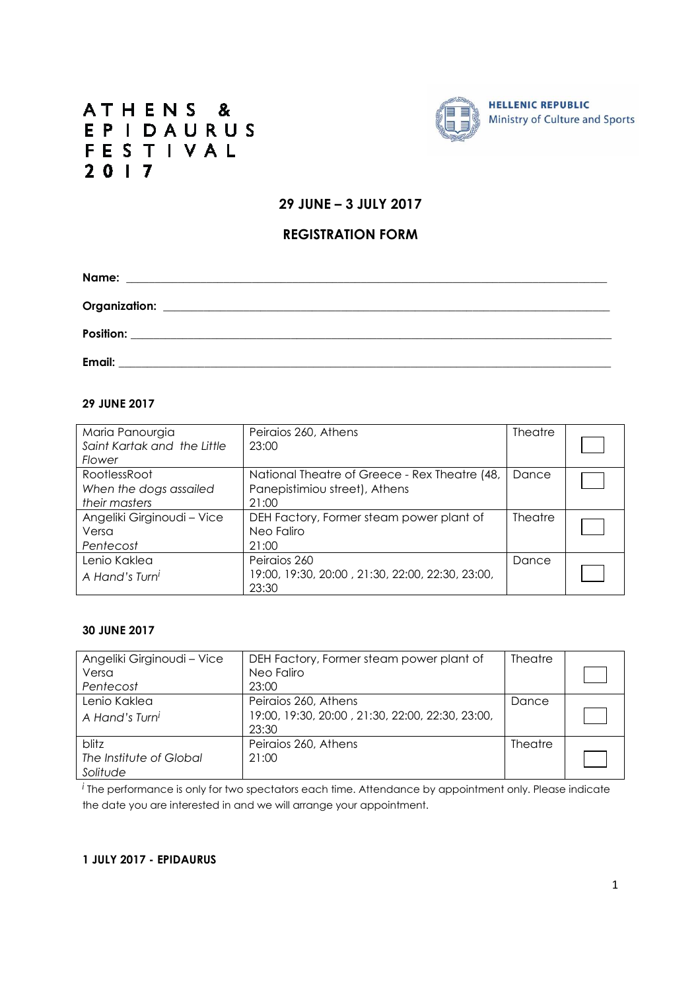# ATHENS & EPIDAURUS FESTIVAL  $2017$



# **29 JUNE – 3 JULY 2017**

## **REGISTRATION FORM**

| Email: |  |  |
|--------|--|--|

#### **29 JUNE 2017**

| Maria Panourgia<br>Saint Kartak and the Little<br>Flower | Peiraios 260, Athens<br>23:00                                                           | <b>Theatre</b> |  |
|----------------------------------------------------------|-----------------------------------------------------------------------------------------|----------------|--|
| RootlessRoot<br>When the dogs assailed<br>their masters  | National Theatre of Greece - Rex Theatre (48,<br>Panepistimiou street), Athens<br>21:00 | Dance          |  |
| Angeliki Girginoudi - Vice<br>Versa<br>Pentecost         | DEH Factory, Former steam power plant of<br>Neo Faliro<br>21:00                         | <b>Theatre</b> |  |
| Lenio Kaklea<br>A Hand's Turn <sup>i</sup>               | Peiraios 260<br>19:00, 19:30, 20:00, 21:30, 22:00, 22:30, 23:00,<br>23:30               | Dance          |  |

### **30 JUNE 2017**

| Angeliki Girginoudi - Vice | DEH Factory, Former steam power plant of         | <b>Theatre</b> |  |
|----------------------------|--------------------------------------------------|----------------|--|
| Versa                      | Neo Faliro                                       |                |  |
| Pentecost                  | 23:00                                            |                |  |
| Lenio Kaklea               | Peiraios 260, Athens                             | Dance          |  |
| A Hand's Turni             | 19:00, 19:30, 20:00, 21:30, 22:00, 22:30, 23:00, |                |  |
|                            | 23:30                                            |                |  |
| blitz                      | Peiraios 260, Athens                             | Theatre        |  |
| The Institute of Global    | 21:00                                            |                |  |
| Solitude                   |                                                  |                |  |

*i* The performance is only for two spectators each time. Attendance by appointment only. Please indicate the date you are interested in and we will arrange your appointment.

#### **1 JULY 2017 - EPIDAURUS**